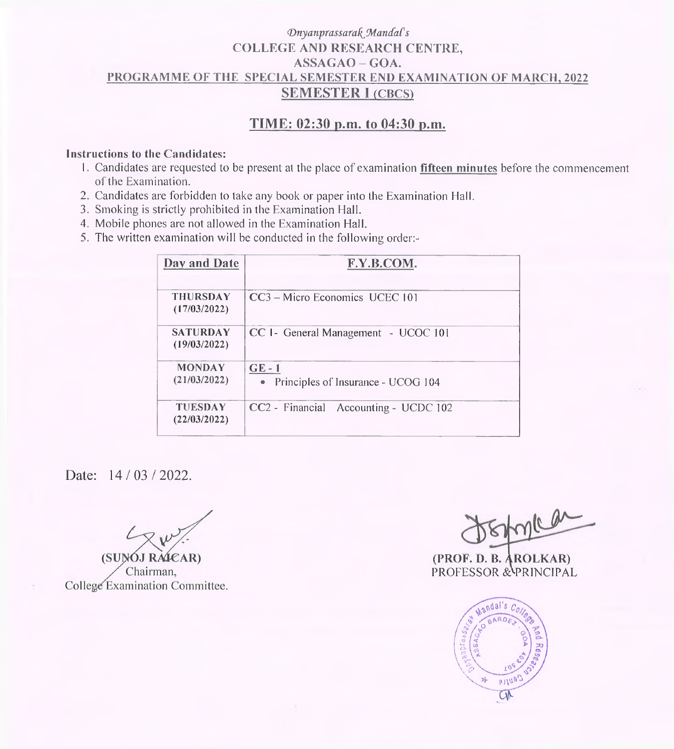## *VnyanprassarakjMandaCs* **COLLEGE AND RESEARCH CENTRE, ASSAGAO-GOA. PROGRAMME OF THE SPECIAL SEMESTER END EXAMINATION OF MARCH, 2022 SEMESTER <sup>I</sup> (CBCS)**

# **TIME: 02:30 p.m. to 04:30 p.m.**

#### **Instructions to the Candidates:**

- 1. Candidates are requested to be present at the place of examination **fifteen minutes** before the commencement of the Examination.
- 2. Candidates are forbidden to take any book or paper into the Examination Hall.
- 3. Smoking is strictly prohibited in the Examination Hall.
- 4. Mobile phones are not allowed in the Examination Hall.
- 5. The written examination will be conducted in the following order:-

| Day and Date                    | F.Y.B.COM.                                     |
|---------------------------------|------------------------------------------------|
| <b>THURSDAY</b><br>(17/03/2022) | CC3 - Micro Economics UCEC 101                 |
| <b>SATURDAY</b><br>(19/03/2022) | CC I - General Management - UCOC 101           |
| <b>MONDAY</b><br>(21/03/2022)   | $GE-1$<br>• Principles of Insurance - UCOG 104 |
| <b>TUESDAY</b><br>(22/03/2022)  | CC2 - Financial Accounting - UCDC 102          |

Date: 14/03/2022.

(SUNOJ RAICAR) Chairman. College Examination Committee.

trace

**(PROF. D. B. AROLKAR)** PROFESSOR & PRINCIPAL